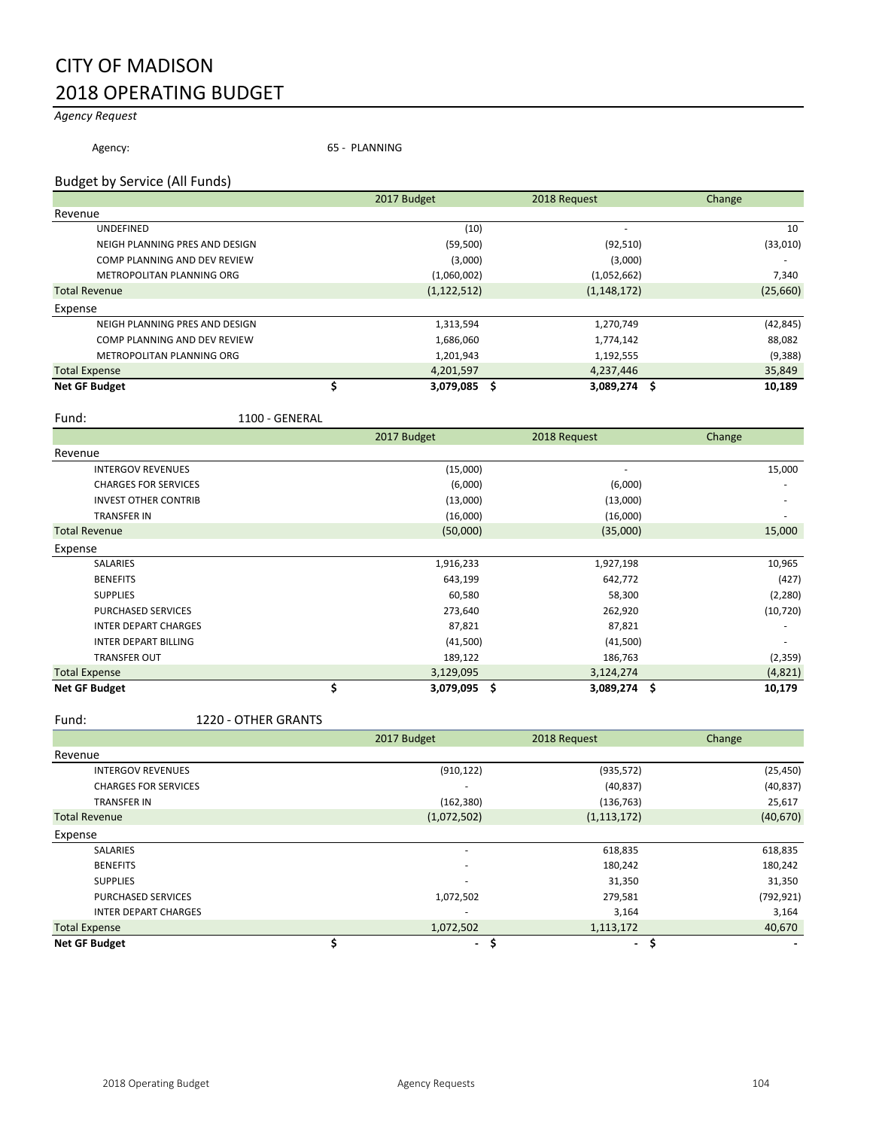# CITY OF MADISON 2018 OPERATING BUDGET

# *Agency Request*

Agency: 65 - PLANNING

#### Budget by Service (All Funds)

|                                | 2017 Budget    | 2018 Request | Change    |
|--------------------------------|----------------|--------------|-----------|
| Revenue                        |                |              |           |
| <b>UNDEFINED</b>               | (10)           |              | 10        |
| NEIGH PLANNING PRES AND DESIGN | (59, 500)      | (92, 510)    | (33,010)  |
| COMP PLANNING AND DEV REVIEW   | (3,000)        |              | (3,000)   |
| METROPOLITAN PLANNING ORG      | (1,060,002)    | (1,052,662)  | 7,340     |
| <b>Total Revenue</b>           | (1, 122, 512)  | (1,148,172)  | (25,660)  |
| Expense                        |                |              |           |
| NEIGH PLANNING PRES AND DESIGN | 1,313,594      | 1,270,749    | (42, 845) |
| COMP PLANNING AND DEV REVIEW   | 1,686,060      | 1,774,142    | 88,082    |
| METROPOLITAN PLANNING ORG      | 1,201,943      | 1,192,555    | (9,388)   |
| <b>Total Expense</b>           | 4,201,597      | 4,237,446    | 35,849    |
| <b>Net GF Budget</b>           | 3,079,085<br>S | 3,089,274 \$ | 10,189    |

Fund: 1100 - GENERAL

|                             | 2017 Budget<br>2018 Request |                 |              | Change    |
|-----------------------------|-----------------------------|-----------------|--------------|-----------|
| Revenue                     |                             |                 |              |           |
| <b>INTERGOV REVENUES</b>    |                             | (15,000)        | ٠            | 15,000    |
| <b>CHARGES FOR SERVICES</b> |                             | (6,000)         | (6,000)      |           |
| <b>INVEST OTHER CONTRIB</b> |                             | (13,000)        | (13,000)     |           |
| TRANSFER IN                 |                             | (16,000)        | (16,000)     |           |
| <b>Total Revenue</b>        |                             | (50,000)        | (35,000)     | 15,000    |
| Expense                     |                             |                 |              |           |
| SALARIES                    |                             | 1,916,233       | 1,927,198    | 10,965    |
| <b>BENEFITS</b>             |                             | 643,199         | 642,772      | (427)     |
| <b>SUPPLIES</b>             |                             | 60,580          | 58,300       | (2, 280)  |
| <b>PURCHASED SERVICES</b>   |                             | 273,640         | 262,920      | (10, 720) |
| <b>INTER DEPART CHARGES</b> |                             | 87,821          | 87,821       |           |
| <b>INTER DEPART BILLING</b> |                             | (41,500)        | (41,500)     |           |
| <b>TRANSFER OUT</b>         |                             | 189,122         | 186,763      | (2, 359)  |
| <b>Total Expense</b>        |                             | 3,129,095       | 3,124,274    | (4,821)   |
| <b>Net GF Budget</b>        | \$                          | \$<br>3,079,095 | 3,089,274 \$ | 10,179    |

Fund: 1220 - OTHER GRANTS

|                             | 2017 Budget              | 2018 Request             | Change     |
|-----------------------------|--------------------------|--------------------------|------------|
| Revenue                     |                          |                          |            |
| <b>INTERGOV REVENUES</b>    | (910, 122)               | (935, 572)               | (25, 450)  |
| <b>CHARGES FOR SERVICES</b> |                          | (40, 837)                | (40, 837)  |
| <b>TRANSFER IN</b>          | (162, 380)               | (136, 763)               | 25,617     |
| <b>Total Revenue</b>        | (1,072,502)              | (1, 113, 172)            | (40, 670)  |
| Expense                     |                          |                          |            |
| <b>SALARIES</b>             | ۰                        | 618,835                  | 618,835    |
| <b>BENEFITS</b>             | $\overline{\phantom{a}}$ | 180,242                  | 180,242    |
| <b>SUPPLIES</b>             |                          | 31,350                   | 31,350     |
| <b>PURCHASED SERVICES</b>   | 1,072,502                | 279,581                  | (792, 921) |
| <b>INTER DEPART CHARGES</b> |                          | 3,164                    | 3,164      |
| <b>Total Expense</b>        | 1,072,502                | 1,113,172                | 40,670     |
| <b>Net GF Budget</b>        |                          | S<br>$\blacksquare$<br>۰ | S          |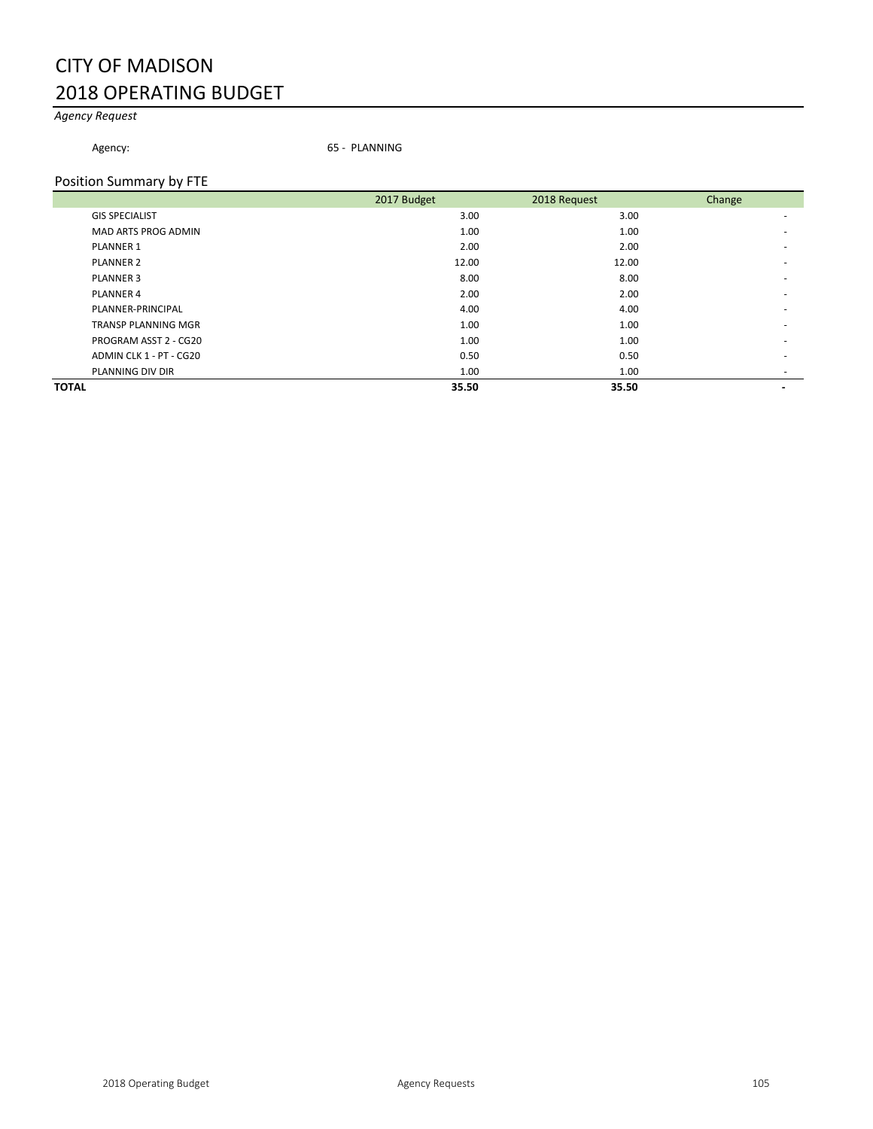# CITY OF MADISON 2018 OPERATING BUDGET

# *Agency Request*

Agency: 65 - PLANNING

#### Position Summary by FTE

|                            | 2017 Budget | 2018 Request | Change                   |
|----------------------------|-------------|--------------|--------------------------|
| <b>GIS SPECIALIST</b>      | 3.00        | 3.00         | <u>. на п</u>            |
| MAD ARTS PROG ADMIN        | 1.00        | 1.00         |                          |
| <b>PLANNER 1</b>           | 2.00        | 2.00         | $\overline{\phantom{a}}$ |
| <b>PLANNER 2</b>           | 12.00       | 12.00        | $\overline{\phantom{a}}$ |
| <b>PLANNER 3</b>           | 8.00        | 8.00         | $\overline{\phantom{a}}$ |
| PLANNER 4                  | 2.00        | 2.00         | $\overline{\phantom{a}}$ |
| PLANNER-PRINCIPAL          | 4.00        | 4.00         |                          |
| <b>TRANSP PLANNING MGR</b> | 1.00        | 1.00         |                          |
| PROGRAM ASST 2 - CG20      | 1.00        | 1.00         | $\overline{\phantom{a}}$ |
| ADMIN CLK 1 - PT - CG20    | 0.50        | 0.50         |                          |
| PLANNING DIV DIR           | 1.00        | 1.00         |                          |
| <b>TOTAL</b>               | 35.50       | 35.50        |                          |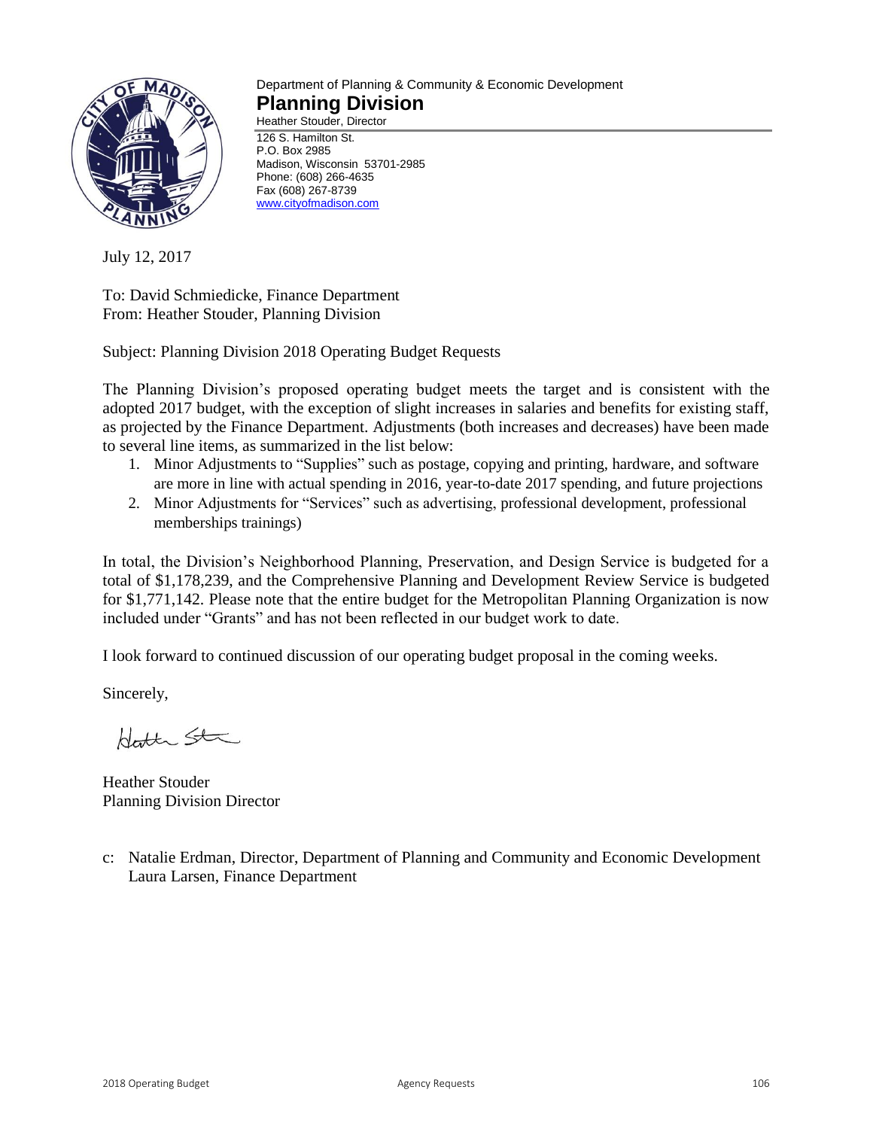

#### Department of Planning & Community & Economic Development **Planning Division** Heather Stouder, Director

126 S. Hamilton St. P.O. Box 2985 Madison, Wisconsin 53701-2985 Phone: (608) 266-4635 Fax (608) 267-8739 [www.cityofmadison.com](http://www.cityofmadison.com/)

July 12, 2017

To: David Schmiedicke, Finance Department From: Heather Stouder, Planning Division

Subject: Planning Division 2018 Operating Budget Requests

The Planning Division's proposed operating budget meets the target and is consistent with the adopted 2017 budget, with the exception of slight increases in salaries and benefits for existing staff, as projected by the Finance Department. Adjustments (both increases and decreases) have been made to several line items, as summarized in the list below:

- 1. Minor Adjustments to "Supplies" such as postage, copying and printing, hardware, and software are more in line with actual spending in 2016, year-to-date 2017 spending, and future projections
- 2. Minor Adjustments for "Services" such as advertising, professional development, professional memberships trainings)

In total, the Division's Neighborhood Planning, Preservation, and Design Service is budgeted for a total of \$1,178,239, and the Comprehensive Planning and Development Review Service is budgeted for \$1,771,142. Please note that the entire budget for the Metropolitan Planning Organization is now included under "Grants" and has not been reflected in our budget work to date.

I look forward to continued discussion of our operating budget proposal in the coming weeks.

Sincerely,

Hotte Sta

Heather Stouder Planning Division Director

c: Natalie Erdman, Director, Department of Planning and Community and Economic Development Laura Larsen, Finance Department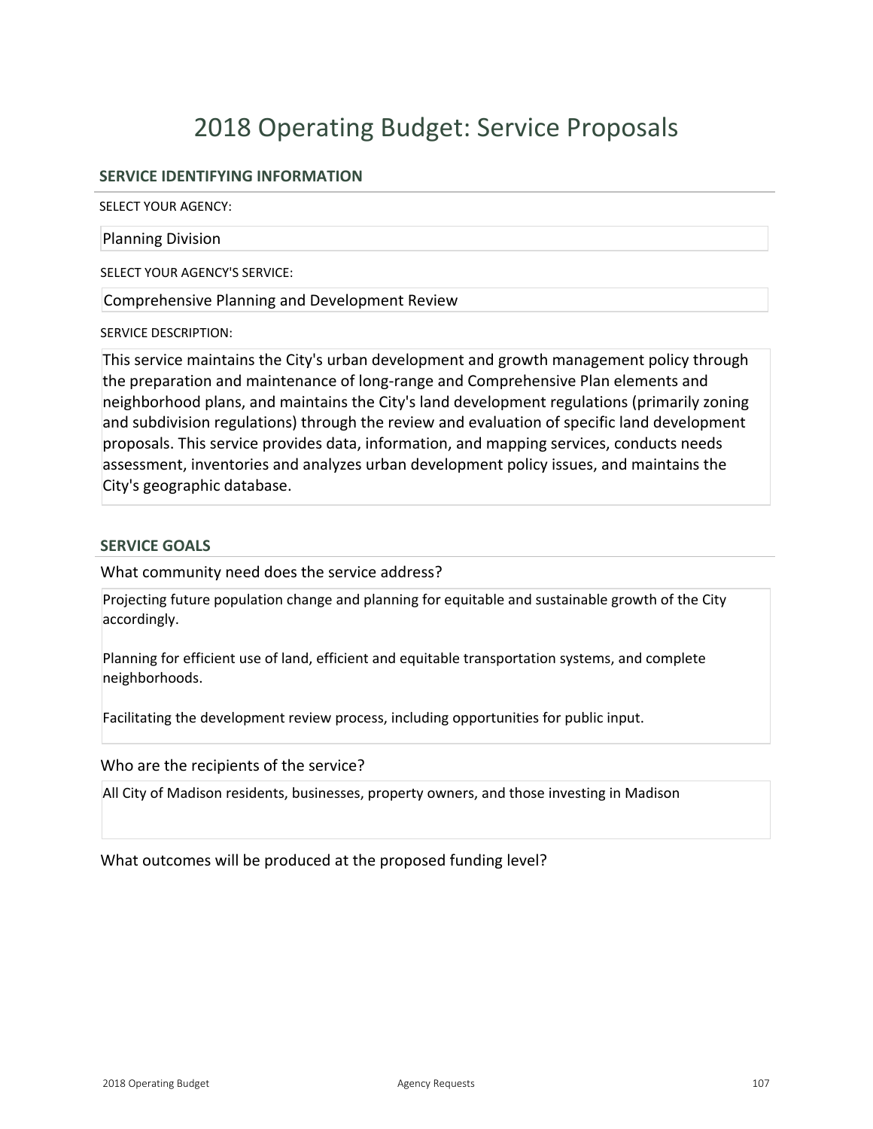# 2018 Operating Budget: Service Proposals

# **SERVICE IDENTIFYING INFORMATION**

SELECT YOUR AGENCY:

#### Planning Division

SELECT YOUR AGENCY'S SERVICE:

Comprehensive Planning and Development Review

SERVICE DESCRIPTION:

This service maintains the City's urban development and growth management policy through the preparation and maintenance of long-range and Comprehensive Plan elements and neighborhood plans, and maintains the City's land development regulations (primarily zoning and subdivision regulations) through the review and evaluation of specific land development proposals. This service provides data, information, and mapping services, conducts needs assessment, inventories and analyzes urban development policy issues, and maintains the City's geographic database.

#### **SERVICE GOALS**

What community need does the service address?

Projecting future population change and planning for equitable and sustainable growth of the City accordingly.

Planning for efficient use of land, efficient and equitable transportation systems, and complete neighborhoods.

Facilitating the development review process, including opportunities for public input.

Who are the recipients of the service?

All City of Madison residents, businesses, property owners, and those investing in Madison

What outcomes will be produced at the proposed funding level?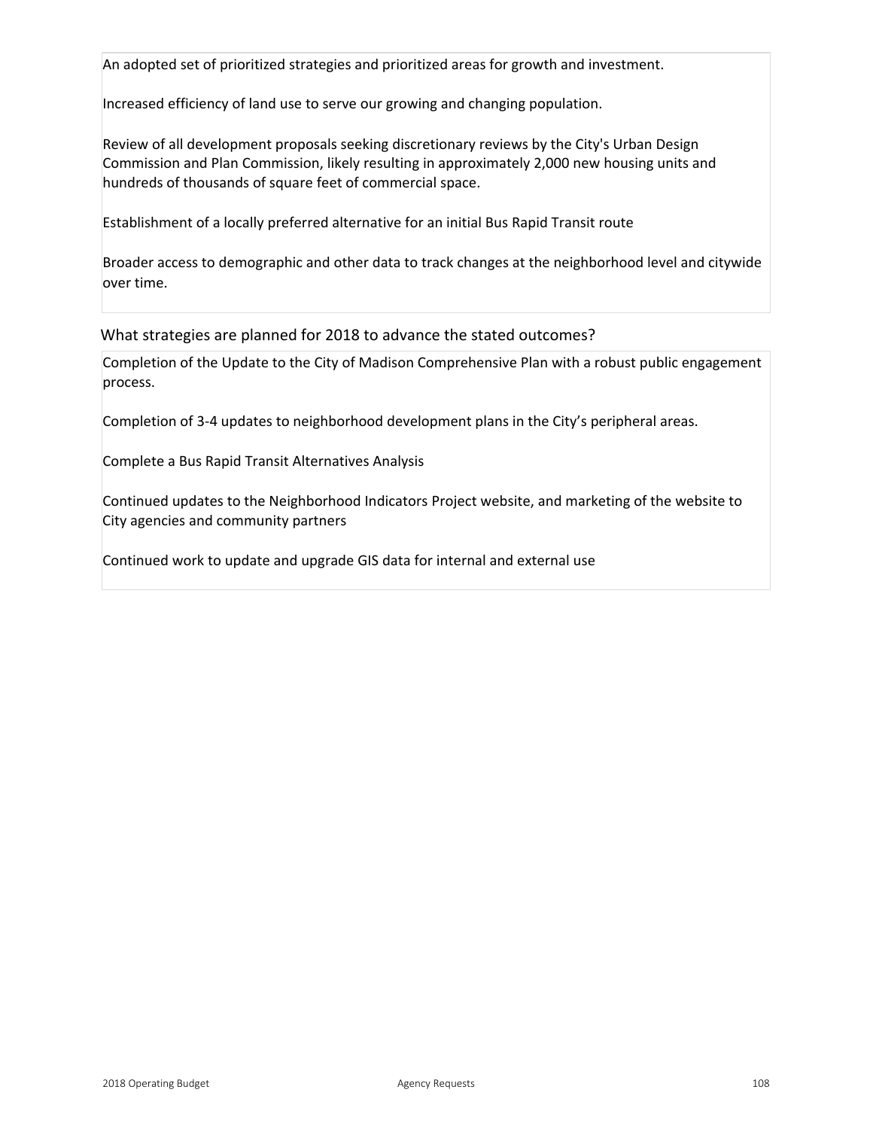An adopted set of prioritized strategies and prioritized areas for growth and investment.

Increased efficiency of land use to serve our growing and changing population.

Review of all development proposals seeking discretionary reviews by the City's Urban Design Commission and Plan Commission, likely resulting in approximately 2,000 new housing units and hundreds of thousands of square feet of commercial space.

Establishment of a locally preferred alternative for an initial Bus Rapid Transit route

Broader access to demographic and other data to track changes at the neighborhood level and citywide over time.

What strategies are planned for 2018 to advance the stated outcomes?

Completion of the Update to the City of Madison Comprehensive Plan with a robust public engagement process.

Completion of 34 updates to neighborhood development plans in the City's peripheral areas.

Complete a Bus Rapid Transit Alternatives Analysis

Continued updates to the Neighborhood Indicators Project website, and marketing of the website to City agencies and community partners

Continued work to update and upgrade GIS data for internal and external use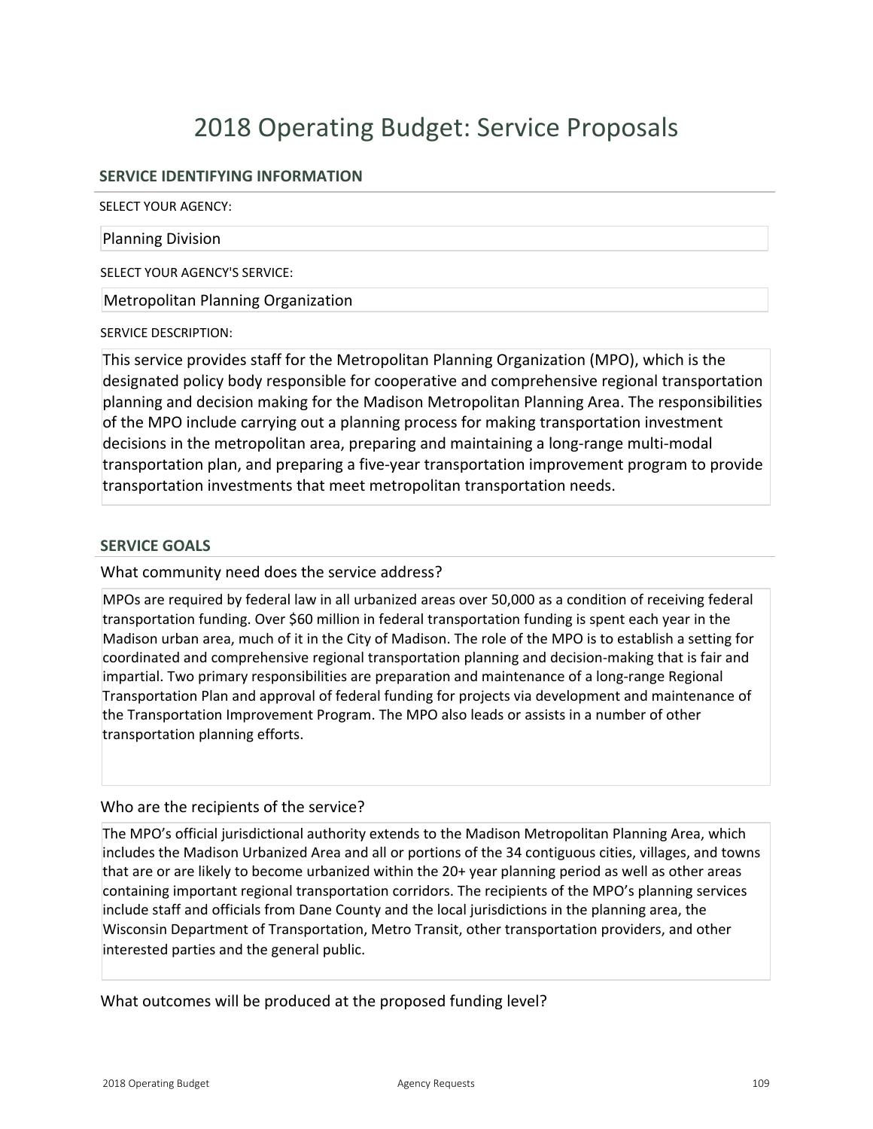# 2018 Operating Budget: Service Proposals

# **SERVICE IDENTIFYING INFORMATION**

SELECT YOUR AGENCY:

#### Planning Division

SELECT YOUR AGENCY'S SERVICE:

Metropolitan Planning Organization

#### SERVICE DESCRIPTION:

This service provides staff for the Metropolitan Planning Organization (MPO), which is the designated policy body responsible for cooperative and comprehensive regional transportation planning and decision making for the Madison Metropolitan Planning Area. The responsibilities of the MPO include carrying out a planning process for making transportation investment decisions in the metropolitan area, preparing and maintaining a long-range multi-modal transportation plan, and preparing a five-year transportation improvement program to provide transportation investments that meet metropolitan transportation needs.

### **SERVICE GOALS**

What community need does the service address?

MPOs are required by federal law in all urbanized areas over 50,000 as a condition of receiving federal transportation funding. Over \$60 million in federal transportation funding is spent each year in the Madison urban area, much of it in the City of Madison. The role of the MPO is to establish a setting for coordinated and comprehensive regional transportation planning and decision-making that is fair and impartial. Two primary responsibilities are preparation and maintenance of a long-range Regional Transportation Plan and approval of federal funding for projects via development and maintenance of the Transportation Improvement Program. The MPO also leads or assists in a number of other transportation planning efforts.

### Who are the recipients of the service?

The MPO's official jurisdictional authority extends to the Madison Metropolitan Planning Area, which includes the Madison Urbanized Area and all or portions of the 34 contiguous cities, villages, and towns that are or are likely to become urbanized within the 20+ year planning period as well as other areas containing important regional transportation corridors. The recipients of the MPO's planning services include staff and officials from Dane County and the local jurisdictions in the planning area, the Wisconsin Department of Transportation, Metro Transit, other transportation providers, and other interested parties and the general public.

What outcomes will be produced at the proposed funding level?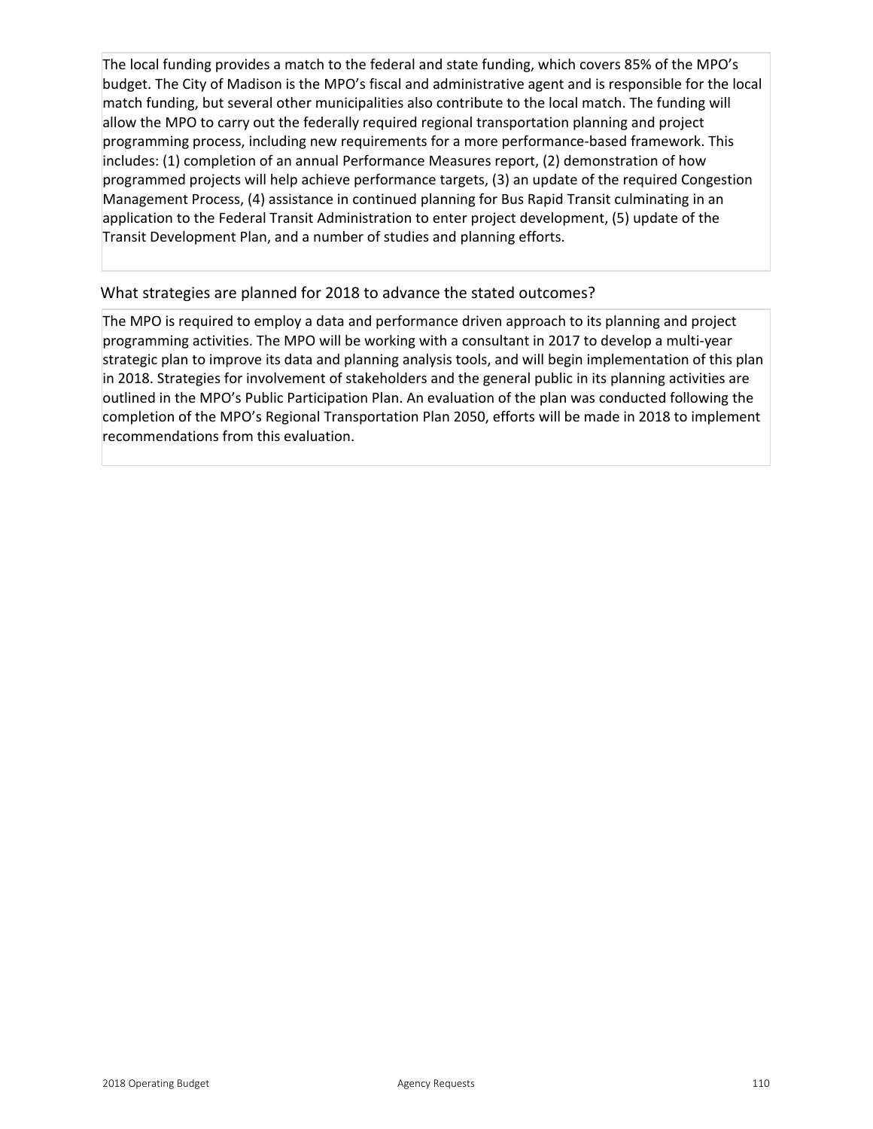The local funding provides a match to the federal and state funding, which covers 85% of the MPO's budget. The City of Madison is the MPO's fiscal and administrative agent and is responsible for the local match funding, but several other municipalities also contribute to the local match. The funding will allow the MPO to carry out the federally required regional transportation planning and project programming process, including new requirements for a more performance-based framework. This includes: (1) completion of an annual Performance Measures report, (2) demonstration of how programmed projects will help achieve performance targets, (3) an update of the required Congestion Management Process, (4) assistance in continued planning for Bus Rapid Transit culminating in an application to the Federal Transit Administration to enter project development, (5) update of the Transit Development Plan, and a number of studies and planning efforts.

# What strategies are planned for 2018 to advance the stated outcomes?

The MPO is required to employ a data and performance driven approach to its planning and project programming activities. The MPO will be working with a consultant in 2017 to develop a multi-year strategic plan to improve its data and planning analysis tools, and will begin implementation of this plan in 2018. Strategies for involvement of stakeholders and the general public in its planning activities are outlined in the MPO's Public Participation Plan. An evaluation of the plan was conducted following the completion of the MPO's Regional Transportation Plan 2050, efforts will be made in 2018 to implement recommendations from this evaluation.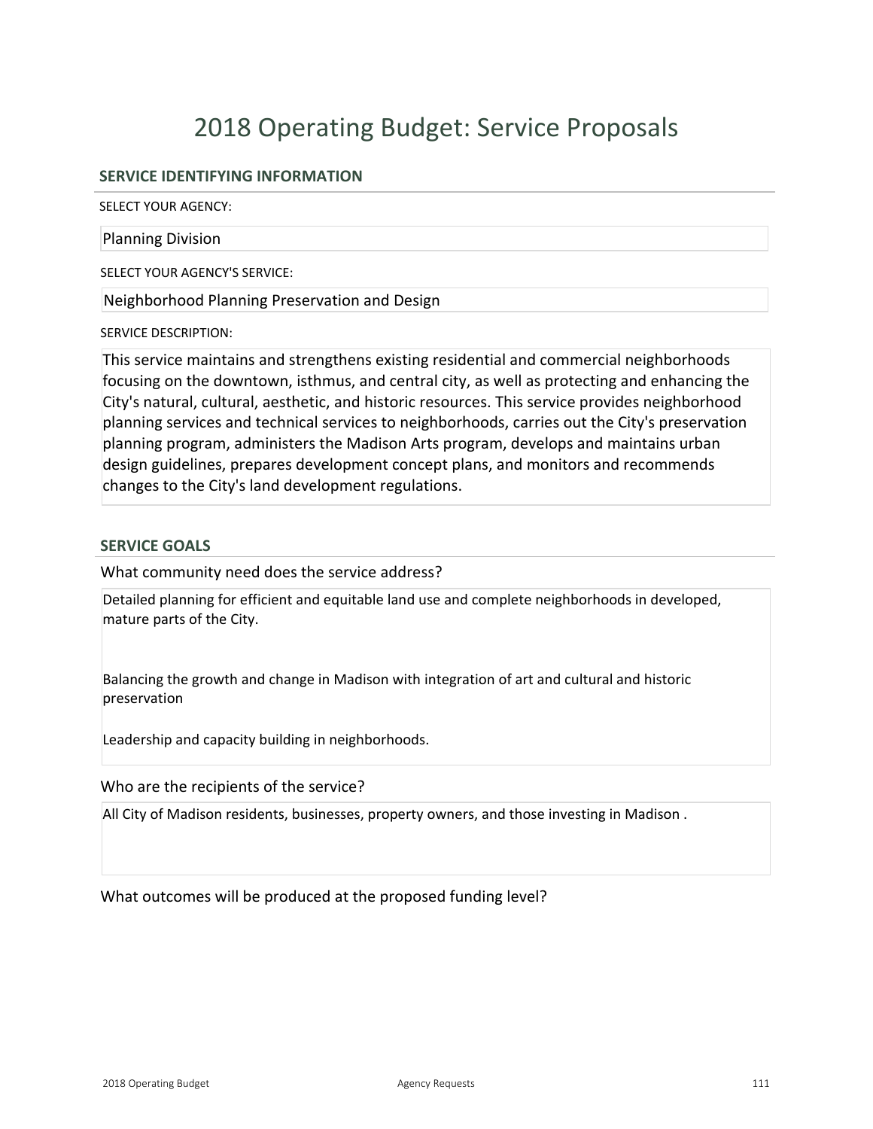# 2018 Operating Budget: Service Proposals

# **SERVICE IDENTIFYING INFORMATION**

SELECT YOUR AGENCY:

#### Planning Division

SELECT YOUR AGENCY'S SERVICE:

Neighborhood Planning Preservation and Design

#### SERVICE DESCRIPTION:

This service maintains and strengthens existing residential and commercial neighborhoods focusing on the downtown, isthmus, and central city, as well as protecting and enhancing the City's natural, cultural, aesthetic, and historic resources. This service provides neighborhood planning services and technical services to neighborhoods, carries out the City's preservation planning program, administers the Madison Arts program, develops and maintains urban design guidelines, prepares development concept plans, and monitors and recommends changes to the City's land development regulations.

### **SERVICE GOALS**

What community need does the service address?

Detailed planning for efficient and equitable land use and complete neighborhoods in developed, mature parts of the City.

Balancing the growth and change in Madison with integration of art and cultural and historic preservation

Leadership and capacity building in neighborhoods.

Who are the recipients of the service?

All City of Madison residents, businesses, property owners, and those investing in Madison .

What outcomes will be produced at the proposed funding level?